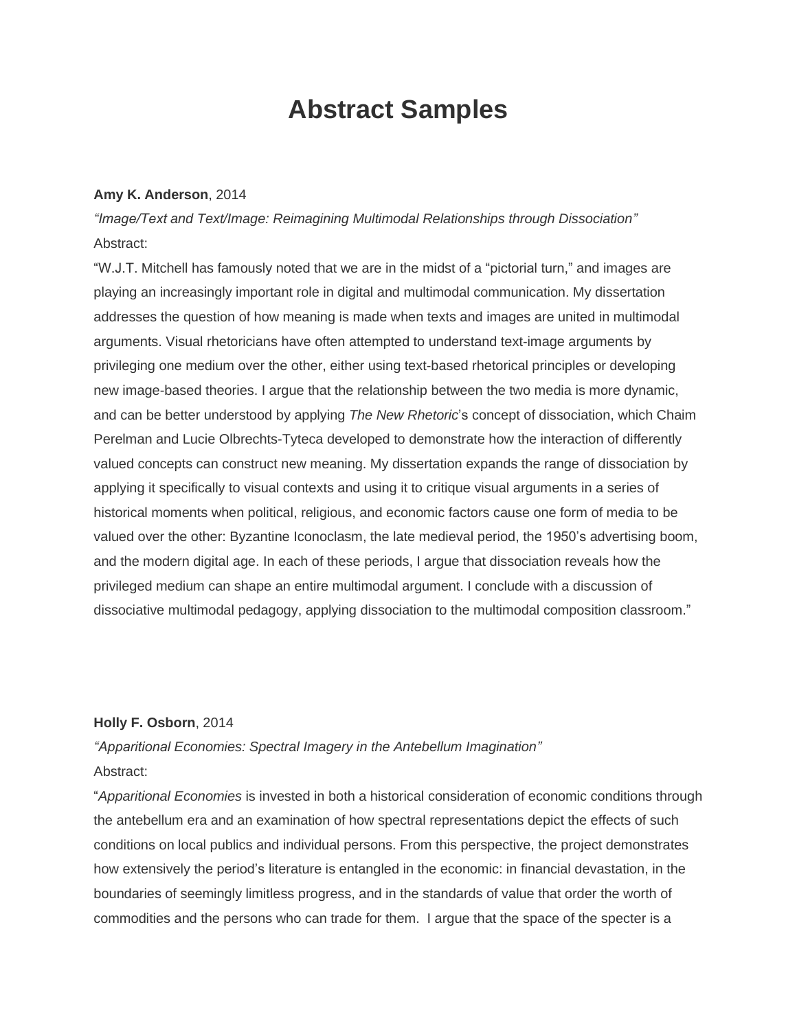# **Abstract Samples**

#### **Amy K. Anderson**, 2014

*"Image/Text and Text/Image: Reimagining Multimodal Relationships through Dissociation"* Abstract:

"W.J.T. Mitchell has famously noted that we are in the midst of a "pictorial turn," and images are playing an increasingly important role in digital and multimodal communication. My dissertation addresses the question of how meaning is made when texts and images are united in multimodal arguments. Visual rhetoricians have often attempted to understand text-image arguments by privileging one medium over the other, either using text-based rhetorical principles or developing new image-based theories. I argue that the relationship between the two media is more dynamic, and can be better understood by applying *The New Rhetoric*'s concept of dissociation, which Chaim Perelman and Lucie Olbrechts-Tyteca developed to demonstrate how the interaction of differently valued concepts can construct new meaning. My dissertation expands the range of dissociation by applying it specifically to visual contexts and using it to critique visual arguments in a series of historical moments when political, religious, and economic factors cause one form of media to be valued over the other: Byzantine Iconoclasm, the late medieval period, the 1950's advertising boom, and the modern digital age. In each of these periods, I argue that dissociation reveals how the privileged medium can shape an entire multimodal argument. I conclude with a discussion of dissociative multimodal pedagogy, applying dissociation to the multimodal composition classroom."

#### **Holly F. Osborn**, 2014

*"Apparitional Economies: Spectral Imagery in the Antebellum Imagination"* Abstract:

"*Apparitional Economies* is invested in both a historical consideration of economic conditions through the antebellum era and an examination of how spectral representations depict the effects of such conditions on local publics and individual persons. From this perspective, the project demonstrates how extensively the period's literature is entangled in the economic: in financial devastation, in the boundaries of seemingly limitless progress, and in the standards of value that order the worth of commodities and the persons who can trade for them. I argue that the space of the specter is a